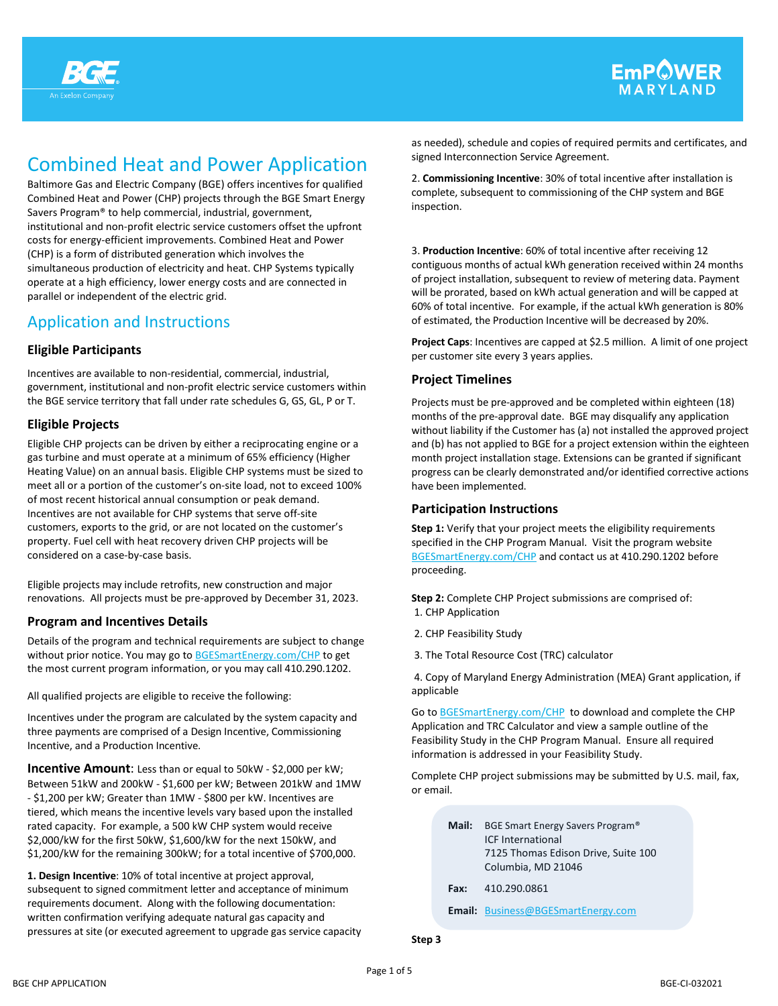

# Combined Heat and Power Application

Baltimore Gas and Electric Company (BGE) offers incentives for qualified Combined Heat and Power (CHP) projects through the BGE Smart Energy Savers Program® to help commercial, industrial, government, institutional and non-profit electric service customers offset the upfront costs for energy-efficient improvements. Combined Heat and Power (CHP) is a form of distributed generation which involves the simultaneous production of electricity and heat. CHP Systems typically operate at a high efficiency, lower energy costs and are connected in parallel or independent of the electric grid.

## Application and Instructions

## **Eligible Participants**

Incentives are available to non-residential, commercial, industrial, government, institutional and non-profit electric service customers within the BGE service territory that fall under rate schedules G, GS, GL, P or T.

## **Eligible Projects**

Eligible CHP projects can be driven by either a reciprocating engine or a gas turbine and must operate at a minimum of 65% efficiency (Higher Heating Value) on an annual basis. Eligible CHP systems must be sized to meet all or a portion of the customer's on-site load, not to exceed 100% of most recent historical annual consumption or peak demand. Incentives are not available for CHP systems that serve off-site customers, exports to the grid, or are not located on the customer's property. Fuel cell with heat recovery driven CHP projects will be considered on a case-by-case basis.

Eligible projects may include retrofits, new construction and major renovations. All projects must be pre-approved by December 31, 2023.

## **Program and Incentives Details**

Details of the program and technical requirements are subject to change without prior notice. You may go to BGESmartEnergy.com/CHP to get the most current program information, or you may call 410.290.1202.

All qualified projects are eligible to receive the following:

Incentives under the program are calculated by the system capacity and three payments are comprised of a Design Incentive, Commissioning Incentive, and a Production Incentive.

**Incentive Amount:** Less than or equal to 50kW - \$2,000 per kW; Between 51kW and 200kW - \$1,600 per kW; Between 201kW and 1MW - \$1,200 per kW; Greater than 1MW - \$800 per kW. Incentives are tiered, which means the incentive levels vary based upon the installed rated capacity. For example, a 500 kW CHP system would receive \$2,000/kW for the first 50kW, \$1,600/kW for the next 150kW, and \$1,200/kW for the remaining 300kW; for a total incentive of \$700,000.

**1. Design Incentive**: 10% of total incentive at project approval, subsequent to signed commitment letter and acceptance of minimum requirements document. Along with the following documentation: written confirmation verifying adequate natural gas capacity and pressures at site (or executed agreement to upgrade gas service capacity as needed), schedule and copies of required permits and certificates, and signed Interconnection Service Agreement.

2. **Commissioning Incentive**: 30% of total incentive after installation is complete, subsequent to commissioning of the CHP system and BGE inspection.

3. **Production Incentive**: 60% of total incentive after receiving 12 contiguous months of actual kWh generation received within 24 months of project installation, subsequent to review of metering data. Payment will be prorated, based on kWh actual generation and will be capped at 60% of total incentive. For example, if the actual kWh generation is 80% of estimated, the Production Incentive will be decreased by 20%.

**Project Caps**: Incentives are capped at \$2.5 million. A limit of one project per customer site every 3 years applies.

## **Project Timelines**

Projects must be pre-approved and be completed within eighteen (18) months of the pre-approval date. BGE may disqualify any application without liability if the Customer has (a) not installed the approved project and (b) has not applied to BGE for a project extension within the eighteen month project installation stage. Extensions can be granted if significant progress can be clearly demonstrated and/or identified corrective actions have been implemented.

## **Participation Instructions**

**Step 1:** Verify that your project meets the eligibility requirements specified in the CHP Program Manual. Visit the program website BGESmartEnergy.com/CHP and contact us at 410.290.1202 before proceeding.

**Step 2:** Complete CHP Project submissions are comprised of: 1. CHP Application

- 2. CHP Feasibility Study
- 3. The Total Resource Cost (TRC) calculator

4. Copy of Maryland Energy Administration (MEA) Grant application, if applicable

Go to BGESmartEnergy.com/CHP to download and complete the CHP Application and TRC Calculator and view a sample outline of the Feasibility Study in the CHP Program Manual. Ensure all required information is addressed in your Feasibility Study.

Complete CHP project submissions may be submitted by U.S. mail, fax, or email.

| Mail: | BGE Smart Energy Savers Program®<br><b>ICE</b> International<br>7125 Thomas Edison Drive, Suite 100<br>Columbia, MD 21046 |
|-------|---------------------------------------------------------------------------------------------------------------------------|
| Fax:  | 410.290.0861                                                                                                              |
|       | <b>Email:</b> Business@BGESmartEnergy.com                                                                                 |

**Step 3**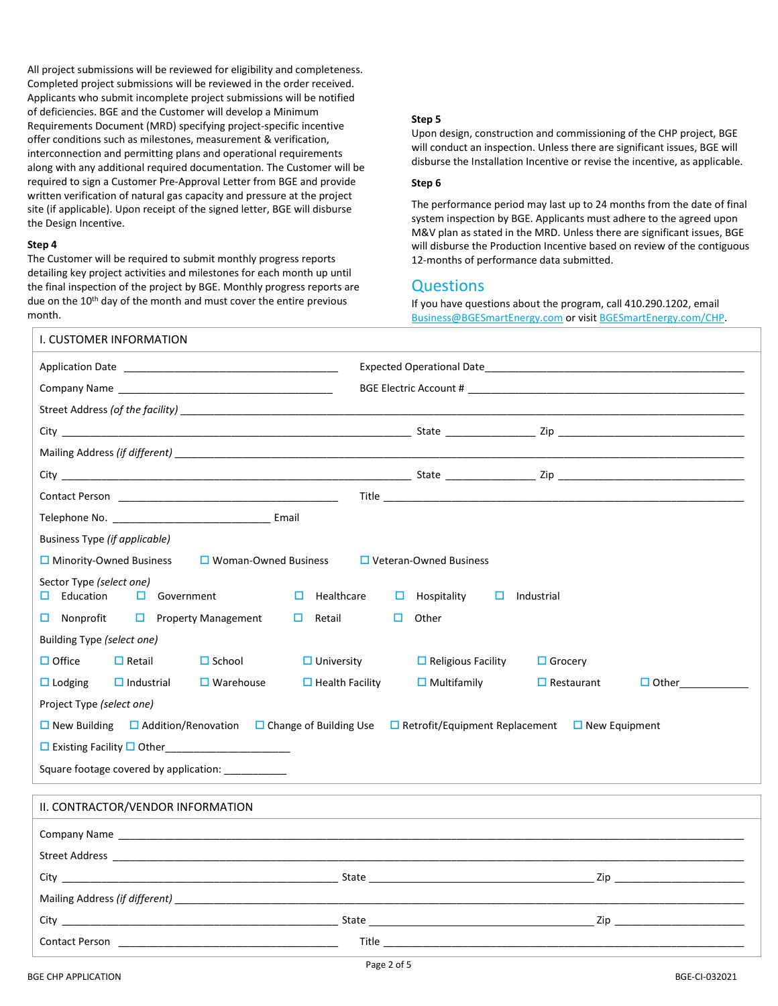All project submissions will be reviewed for eligibility and completeness. Completed project submissions will be reviewed in the order received. Applicants who submit incomplete project submissions will be notified of deficiencies. BGE and the Customer will develop a Minimum Requirements Document (MRD) specifying project-specific incentive offer conditions such as milestones, measurement & verification, interconnection and permitting plans and operational requirements along with any additional required documentation. The Customer will be required to sign a Customer Pre-Approval Letter from BGE and provide written verification of natural gas capacity and pressure at the project site (if applicable). Upon receipt of the signed letter, BGE will disburse the Design Incentive.

#### **Step 4**

The Customer will be required to submit monthly progress reports detailing key project activities and milestones for each month up until the final inspection of the project by BGE. Monthly progress reports are due on the 10<sup>th</sup> day of the month and must cover the entire previous month.

#### **Step 5**

Upon design, construction and commissioning of the CHP project, BGE will conduct an inspection. Unless there are significant issues, BGE will disburse the Installation Incentive or revise the incentive, as applicable.

#### **Step 6**

The performance period may last up to 24 months from the date of final system inspection by BGE. Applicants must adhere to the agreed upon M&V plan as stated in the MRD. Unless there are significant issues, BGE will disburse the Production Incentive based on review of the contiguous 12-months of performance data submitted.

## **Questions**

If you have questions about the program, call 410.290.1202, email [Business@BGESmartEnergy.com](mailto:business@bgesmartenergy.com) or visit BGESmartEnergy.com/CHP.

| I. CUSTOMER INFORMATION                                                                                        |                                                         |  |  |  |  |
|----------------------------------------------------------------------------------------------------------------|---------------------------------------------------------|--|--|--|--|
| Application Date <b>Application</b>                                                                            |                                                         |  |  |  |  |
|                                                                                                                |                                                         |  |  |  |  |
|                                                                                                                |                                                         |  |  |  |  |
|                                                                                                                |                                                         |  |  |  |  |
|                                                                                                                |                                                         |  |  |  |  |
|                                                                                                                |                                                         |  |  |  |  |
|                                                                                                                |                                                         |  |  |  |  |
|                                                                                                                |                                                         |  |  |  |  |
| <b>Business Type (if applicable)</b>                                                                           |                                                         |  |  |  |  |
| $\Box$ Minority-Owned Business<br>$\Box$ Woman-Owned Business<br>$\Box$ Veteran-Owned Business                 |                                                         |  |  |  |  |
| Sector Type (select one)<br>Education<br>$\Box$ Government<br>$\Box$ Healthcare<br>□ ∴                         | Hospitality<br>$\Box$ Industrial<br>O.                  |  |  |  |  |
| $\Box$ Property Management<br>Retail<br>Nonprofit                                                              | Other<br>O                                              |  |  |  |  |
| Building Type (select one)                                                                                     |                                                         |  |  |  |  |
| $\Box$ Office<br>$\Box$ Retail<br>$\Box$ School<br>$\Box$ University                                           | $\Box$ Religious Facility<br>$\Box$ Grocery             |  |  |  |  |
| $\Box$ Warehouse<br>$\Box$ Health Facility<br>$\Box$ Lodging<br>$\Box$ Industrial                              | $\Box$ Multifamily<br>$\Box$ Restaurant<br>$\Box$ Other |  |  |  |  |
| Project Type (select one)                                                                                      |                                                         |  |  |  |  |
| □ New Building □ Addition/Renovation □ Change of Building Use □ Retrofit/Equipment Replacement □ New Equipment |                                                         |  |  |  |  |
| □ Existing Facility □ Other<br>□                                                                               |                                                         |  |  |  |  |
| Square footage covered by application: ___________                                                             |                                                         |  |  |  |  |
| II. CONTRACTOR/VENDOR INFORMATION                                                                              |                                                         |  |  |  |  |
|                                                                                                                |                                                         |  |  |  |  |
|                                                                                                                |                                                         |  |  |  |  |
|                                                                                                                |                                                         |  |  |  |  |
|                                                                                                                |                                                         |  |  |  |  |
|                                                                                                                |                                                         |  |  |  |  |
| <b>Contact Person Contact Person</b>                                                                           |                                                         |  |  |  |  |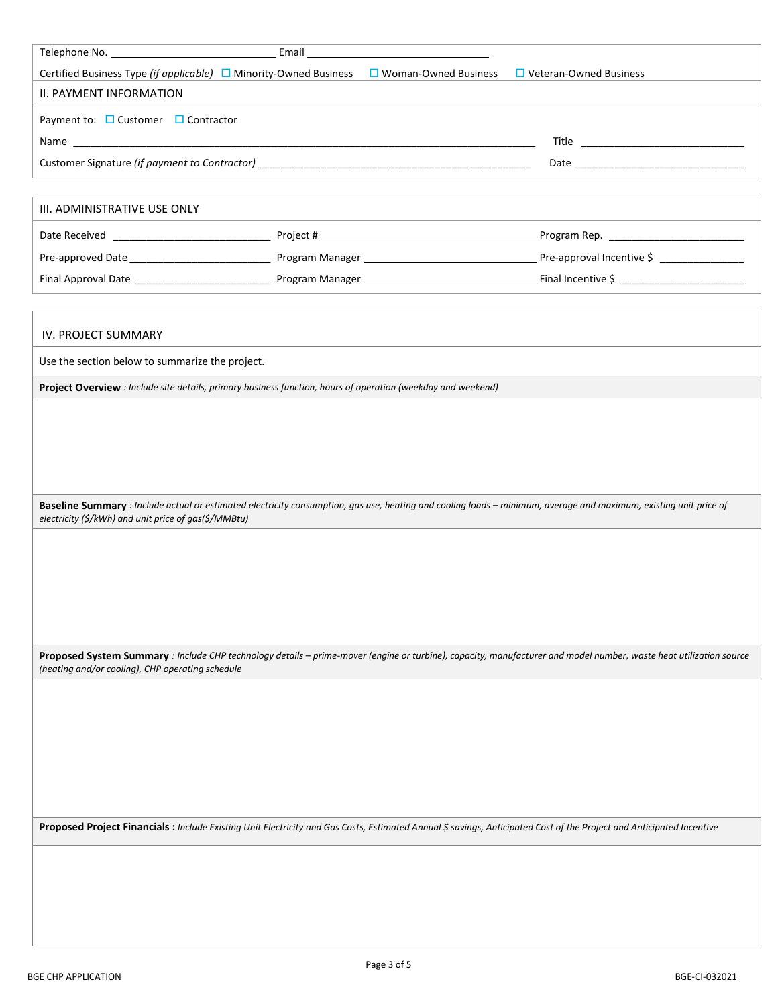| Certified Business Type (if applicable) $\Box$ Minority-Owned Business $\Box$ Woman-Owned Business $\Box$ Veteran-Owned Business |  |  |                                                                                                                                                                                                                                |  |  |
|----------------------------------------------------------------------------------------------------------------------------------|--|--|--------------------------------------------------------------------------------------------------------------------------------------------------------------------------------------------------------------------------------|--|--|
| II. PAYMENT INFORMATION                                                                                                          |  |  |                                                                                                                                                                                                                                |  |  |
| Payment to: $\Box$ Customer $\Box$ Contractor                                                                                    |  |  |                                                                                                                                                                                                                                |  |  |
|                                                                                                                                  |  |  |                                                                                                                                                                                                                                |  |  |
|                                                                                                                                  |  |  |                                                                                                                                                                                                                                |  |  |
|                                                                                                                                  |  |  |                                                                                                                                                                                                                                |  |  |
| III. ADMINISTRATIVE USE ONLY                                                                                                     |  |  |                                                                                                                                                                                                                                |  |  |
|                                                                                                                                  |  |  | Program Rep. The contract of the contract of the contract of the contract of the contract of the contract of the contract of the contract of the contract of the contract of the contract of the contract of the contract of t |  |  |
|                                                                                                                                  |  |  | Pre-approval Incentive \$                                                                                                                                                                                                      |  |  |
|                                                                                                                                  |  |  |                                                                                                                                                                                                                                |  |  |
|                                                                                                                                  |  |  |                                                                                                                                                                                                                                |  |  |
|                                                                                                                                  |  |  |                                                                                                                                                                                                                                |  |  |

### IV. PROJECT SUMMARY

Use the section below to summarize the project.

**Project Overview** *: Include site details, primary business function, hours of operation (weekday and weekend)*

**Baseline Summary** *: Include actual or estimated electricity consumption, gas use, heating and cooling loads – minimum, average and maximum, existing unit price of electricity (\$/kWh) and unit price of gas(\$/MMBtu)*

**Proposed System Summary** *: Include CHP technology details – prime-mover (engine or turbine), capacity, manufacturer and model number, waste heat utilization source (heating and/or cooling), CHP operating schedule*

**Proposed Project Financials :** *Include Existing Unit Electricity and Gas Costs, Estimated Annual \$ savings, Anticipated Cost of the Project and Anticipated Incentive*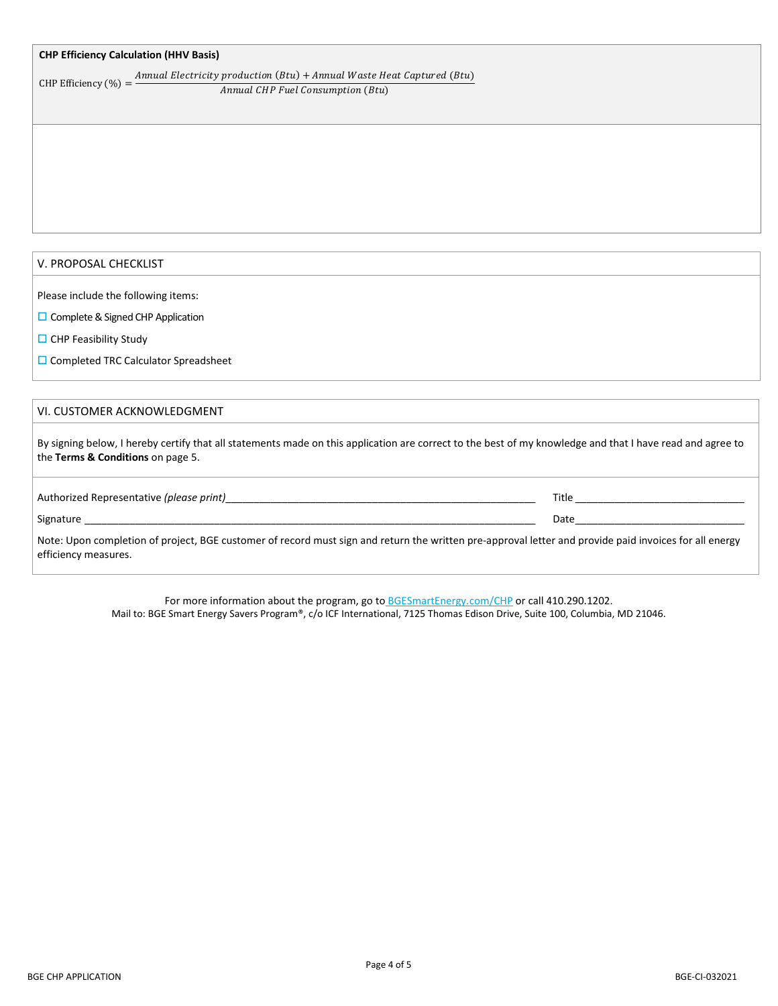#### **CHP Efficiency Calculation (HHV Basis)**

CHP Efficiency  $(\%) = \frac{Annual \ Electricity \ production (Btu) + Annual \ Wave \ Heat \ Capital \ (Btu)}{1}$ Annual CHP Fuel Consumption (Btu)

#### V. PROPOSAL CHECKLIST

Please include the following items:

- $\square$  Complete & Signed CHP Application
- $\Box$  CHP Feasibility Study
- □ Completed TRC Calculator Spreadsheet

#### VI. CUSTOMER ACKNOWLEDGMENT

By signing below, I hereby certify that all statements made on this application are correct to the best of my knowledge and that I have read and agree to the **Terms & Conditions** on page 5.

| Authorized Representative <i>(please print)</i> | Title |
|-------------------------------------------------|-------|
|                                                 |       |

#### Signature \_\_\_\_\_\_\_\_\_\_\_\_\_\_\_\_\_\_\_\_\_\_\_\_\_\_\_\_\_\_\_\_\_\_\_\_\_\_\_\_\_\_\_\_\_\_\_\_\_\_\_\_\_\_\_\_\_\_\_\_\_\_\_\_\_\_\_\_\_\_\_\_\_\_\_\_\_\_\_\_ Date\_\_\_\_\_\_\_\_\_\_\_\_\_\_\_\_\_\_\_\_\_\_\_\_\_\_\_\_\_\_

Note: Upon completion of project, BGE customer of record must sign and return the written pre-approval letter and provide paid invoices for all energy efficiency measures.

> For more information about the program, go to BGESmartEnergy.com/CHP or call 410.290.1202. Mail to: BGE Smart Energy Savers Program®, c/o ICF International, 7125 Thomas Edison Drive, Suite 100, Columbia, MD 21046.